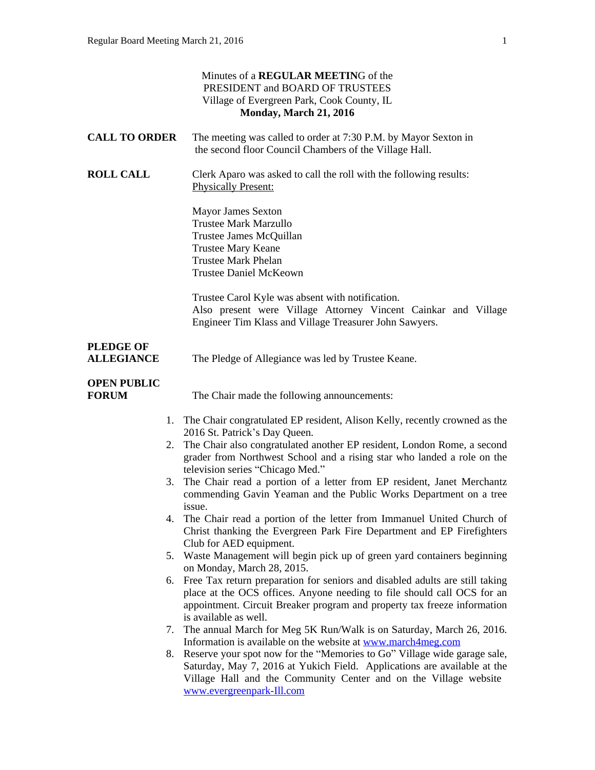|                                       | Minutes of a REGULAR MEETING of the<br>PRESIDENT and BOARD OF TRUSTEES<br>Village of Evergreen Park, Cook County, IL<br>Monday, March 21, 2016                                                                                                                                                                           |
|---------------------------------------|--------------------------------------------------------------------------------------------------------------------------------------------------------------------------------------------------------------------------------------------------------------------------------------------------------------------------|
| <b>CALL TO ORDER</b>                  | The meeting was called to order at 7:30 P.M. by Mayor Sexton in<br>the second floor Council Chambers of the Village Hall.                                                                                                                                                                                                |
| <b>ROLL CALL</b>                      | Clerk Aparo was asked to call the roll with the following results:<br><b>Physically Present:</b>                                                                                                                                                                                                                         |
|                                       | <b>Mayor James Sexton</b><br><b>Trustee Mark Marzullo</b><br>Trustee James McQuillan<br><b>Trustee Mary Keane</b><br><b>Trustee Mark Phelan</b><br><b>Trustee Daniel McKeown</b>                                                                                                                                         |
|                                       | Trustee Carol Kyle was absent with notification.<br>Also present were Village Attorney Vincent Cainkar and Village<br>Engineer Tim Klass and Village Treasurer John Sawyers.                                                                                                                                             |
| <b>PLEDGE OF</b><br><b>ALLEGIANCE</b> | The Pledge of Allegiance was led by Trustee Keane.                                                                                                                                                                                                                                                                       |
| <b>OPEN PUBLIC</b><br><b>FORUM</b>    | The Chair made the following announcements:                                                                                                                                                                                                                                                                              |
|                                       | 1. The Chair congratulated EP resident, Alison Kelly, recently crowned as the                                                                                                                                                                                                                                            |
|                                       | 2016 St. Patrick's Day Queen.<br>2. The Chair also congratulated another EP resident, London Rome, a second<br>grader from Northwest School and a rising star who landed a role on the<br>television series "Chicago Med."                                                                                               |
| 3.                                    | The Chair read a portion of a letter from EP resident, Janet Merchantz<br>commending Gavin Yeaman and the Public Works Department on a tree<br>issue.                                                                                                                                                                    |
|                                       | 4. The Chair read a portion of the letter from Immanuel United Church of<br>Christ thanking the Evergreen Park Fire Department and EP Firefighters<br>Club for AED equipment.                                                                                                                                            |
|                                       | 5. Waste Management will begin pick up of green yard containers beginning                                                                                                                                                                                                                                                |
| 6.                                    | on Monday, March 28, 2015.<br>Free Tax return preparation for seniors and disabled adults are still taking<br>place at the OCS offices. Anyone needing to file should call OCS for an<br>appointment. Circuit Breaker program and property tax freeze information<br>is available as well.                               |
|                                       | 7. The annual March for Meg 5K Run/Walk is on Saturday, March 26, 2016.                                                                                                                                                                                                                                                  |
|                                       | Information is available on the website at www.march4meg.com<br>8. Reserve your spot now for the "Memories to Go" Village wide garage sale,<br>Saturday, May 7, 2016 at Yukich Field. Applications are available at the<br>Village Hall and the Community Center and on the Village website<br>www.evergreenpark-Ill.com |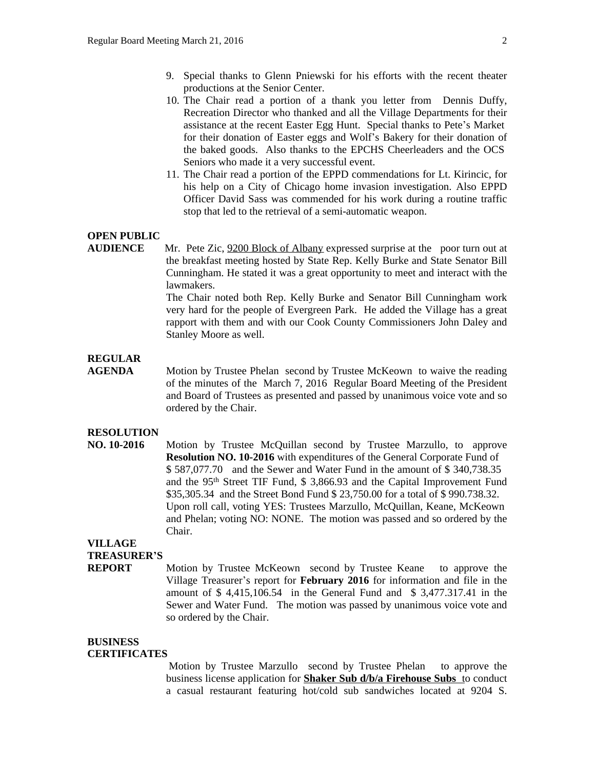- 9. Special thanks to Glenn Pniewski for his efforts with the recent theater productions at the Senior Center.
- 10. The Chair read a portion of a thank you letter from Dennis Duffy, Recreation Director who thanked and all the Village Departments for their assistance at the recent Easter Egg Hunt. Special thanks to Pete's Market for their donation of Easter eggs and Wolf's Bakery for their donation of the baked goods. Also thanks to the EPCHS Cheerleaders and the OCS Seniors who made it a very successful event.
- 11. The Chair read a portion of the EPPD commendations for Lt. Kirincic, for his help on a City of Chicago home invasion investigation. Also EPPD Officer David Sass was commended for his work during a routine traffic stop that led to the retrieval of a semi-automatic weapon.

## **OPEN PUBLIC**

**AUDIENCE** Mr. Pete Zic, 9200 Block of Albany expressed surprise at the poor turn out at the breakfast meeting hosted by State Rep. Kelly Burke and State Senator Bill Cunningham. He stated it was a great opportunity to meet and interact with the lawmakers.

> The Chair noted both Rep. Kelly Burke and Senator Bill Cunningham work very hard for the people of Evergreen Park. He added the Village has a great rapport with them and with our Cook County Commissioners John Daley and Stanley Moore as well.

# **REGULAR**

**AGENDA** Motion by Trustee Phelan second by Trustee McKeown to waive the reading of the minutes of the March 7, 2016 Regular Board Meeting of the President and Board of Trustees as presented and passed by unanimous voice vote and so ordered by the Chair.

#### **RESOLUTION**

**NO. 10-2016** Motion by Trustee McQuillan second by Trustee Marzullo, to approve **Resolution NO. 10-2016** with expenditures of the General Corporate Fund of \$ 587,077.70 and the Sewer and Water Fund in the amount of \$ 340,738.35 and the 95th Street TIF Fund, \$ 3,866.93 and the Capital Improvement Fund \$35,305.34 and the Street Bond Fund \$ 23,750.00 for a total of \$ 990.738.32. Upon roll call, voting YES: Trustees Marzullo, McQuillan, Keane, McKeown and Phelan; voting NO: NONE. The motion was passed and so ordered by the Chair.

**VILLAGE TREASURER'S**

**REPORT** Motion by Trustee McKeown second by Trustee Keane to approve the Village Treasurer's report for **February 2016** for information and file in the amount of \$ 4,415,106.54 in the General Fund and \$ 3,477.317.41 in the Sewer and Water Fund. The motion was passed by unanimous voice vote and so ordered by the Chair.

#### **BUSINESS**

#### **CERTIFICATES**

Motion by Trustee Marzullo second by Trustee Phelan to approve the business license application for **Shaker Sub d/b/a Firehouse Subs** to conduct a casual restaurant featuring hot/cold sub sandwiches located at 9204 S.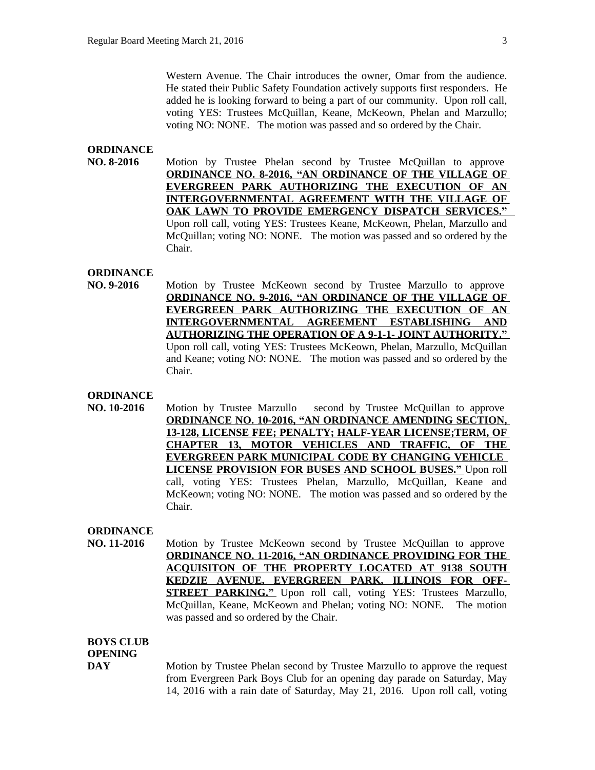Western Avenue. The Chair introduces the owner, Omar from the audience. He stated their Public Safety Foundation actively supports first responders. He added he is looking forward to being a part of our community. Upon roll call, voting YES: Trustees McQuillan, Keane, McKeown, Phelan and Marzullo; voting NO: NONE. The motion was passed and so ordered by the Chair.

# **ORDINANCE**

**NO. 8-2016** Motion by Trustee Phelan second by Trustee McQuillan to approve **ORDINANCE NO. 8-2016, "AN ORDINANCE OF THE VILLAGE OF EVERGREEN PARK AUTHORIZING THE EXECUTION OF AN INTERGOVERNMENTAL AGREEMENT WITH THE VILLAGE OF OAK LAWN TO PROVIDE EMERGENCY DISPATCH SERVICES."**  Upon roll call, voting YES: Trustees Keane, McKeown, Phelan, Marzullo and McQuillan; voting NO: NONE. The motion was passed and so ordered by the Chair.

# **ORDINANCE**

**NO. 9-2016** Motion by Trustee McKeown second by Trustee Marzullo to approve **ORDINANCE NO. 9-2016, "AN ORDINANCE OF THE VILLAGE OF EVERGREEN PARK AUTHORIZING THE EXECUTION OF AN INTERGOVERNMENTAL AGREEMENT ESTABLISHING AND AUTHORIZING THE OPERATION OF A 9-1-1- JOINT AUTHORITY."** Upon roll call, voting YES: Trustees McKeown, Phelan, Marzullo, McQuillan and Keane; voting NO: NONE. The motion was passed and so ordered by the Chair.

# **ORDINANCE**

**NO. 10-2016** Motion by Trustee Marzullo second by Trustee McQuillan to approve **ORDINANCE NO. 10-2016, "AN ORDINANCE AMENDING SECTION, 13-128, LICENSE FEE; PENALTY; HALF-YEAR LICENSE;TERM, OF CHAPTER 13, MOTOR VEHICLES AND TRAFFIC, OF THE EVERGREEN PARK MUNICIPAL CODE BY CHANGING VEHICLE LICENSE PROVISION FOR BUSES AND SCHOOL BUSES."** Upon roll call, voting YES: Trustees Phelan, Marzullo, McQuillan, Keane and McKeown; voting NO: NONE. The motion was passed and so ordered by the Chair.

# **ORDINANCE**

**NO. 11-2016** Motion by Trustee McKeown second by Trustee McQuillan to approve **ORDINANCE NO. 11-2016, "AN ORDINANCE PROVIDING FOR THE ACQUISITON OF THE PROPERTY LOCATED AT 9138 SOUTH KEDZIE AVENUE, EVERGREEN PARK, ILLINOIS FOR OFF-STREET PARKING."** Upon roll call, voting YES: Trustees Marzullo, McQuillan, Keane, McKeown and Phelan; voting NO: NONE. The motion was passed and so ordered by the Chair.

## **BOYS CLUB**

# **OPENING**

**DAY** Motion by Trustee Phelan second by Trustee Marzullo to approve the request from Evergreen Park Boys Club for an opening day parade on Saturday, May 14, 2016 with a rain date of Saturday, May 21, 2016. Upon roll call, voting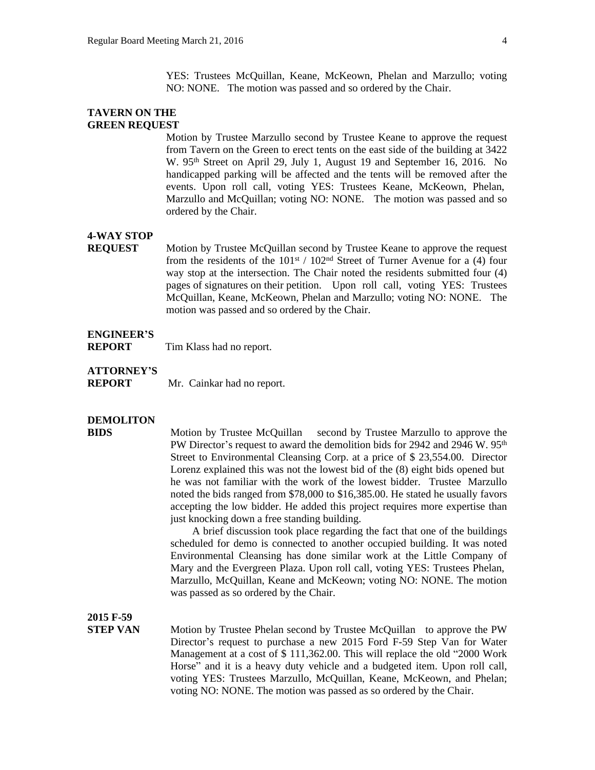YES: Trustees McQuillan, Keane, McKeown, Phelan and Marzullo; voting NO: NONE. The motion was passed and so ordered by the Chair.

## **TAVERN ON THE GREEN REQUEST**

Motion by Trustee Marzullo second by Trustee Keane to approve the request from Tavern on the Green to erect tents on the east side of the building at 3422 W. 95th Street on April 29, July 1, August 19 and September 16, 2016. No handicapped parking will be affected and the tents will be removed after the events. Upon roll call, voting YES: Trustees Keane, McKeown, Phelan, Marzullo and McQuillan; voting NO: NONE. The motion was passed and so ordered by the Chair.

# **4-WAY STOP**

**REQUEST** Motion by Trustee McQuillan second by Trustee Keane to approve the request from the residents of the  $101<sup>st</sup> / 102<sup>nd</sup>$  Street of Turner Avenue for a (4) four way stop at the intersection. The Chair noted the residents submitted four (4) pages of signatures on their petition. Upon roll call, voting YES: Trustees McQuillan, Keane, McKeown, Phelan and Marzullo; voting NO: NONE. The motion was passed and so ordered by the Chair.

## **ENGINEER'S**

**REPORT** Tim Klass had no report.

# **ATTORNEY'S**

**REPORT** Mr. Cainkar had no report.

# **DEMOLITON**

**BIDS** Motion by Trustee McQuillan second by Trustee Marzullo to approve the PW Director's request to award the demolition bids for 2942 and 2946 W. 95<sup>th</sup> Street to Environmental Cleansing Corp. at a price of \$ 23,554.00. Director Lorenz explained this was not the lowest bid of the (8) eight bids opened but he was not familiar with the work of the lowest bidder. Trustee Marzullo noted the bids ranged from \$78,000 to \$16,385.00. He stated he usually favors accepting the low bidder. He added this project requires more expertise than just knocking down a free standing building.

> A brief discussion took place regarding the fact that one of the buildings scheduled for demo is connected to another occupied building. It was noted Environmental Cleansing has done similar work at the Little Company of Mary and the Evergreen Plaza. Upon roll call, voting YES: Trustees Phelan, Marzullo, McQuillan, Keane and McKeown; voting NO: NONE. The motion was passed as so ordered by the Chair.

**2015 F-59**

**STEP VAN** Motion by Trustee Phelan second by Trustee McQuillan to approve the PW Director's request to purchase a new 2015 Ford F-59 Step Van for Water Management at a cost of \$ 111,362.00. This will replace the old "2000 Work Horse" and it is a heavy duty vehicle and a budgeted item. Upon roll call, voting YES: Trustees Marzullo, McQuillan, Keane, McKeown, and Phelan; voting NO: NONE. The motion was passed as so ordered by the Chair.